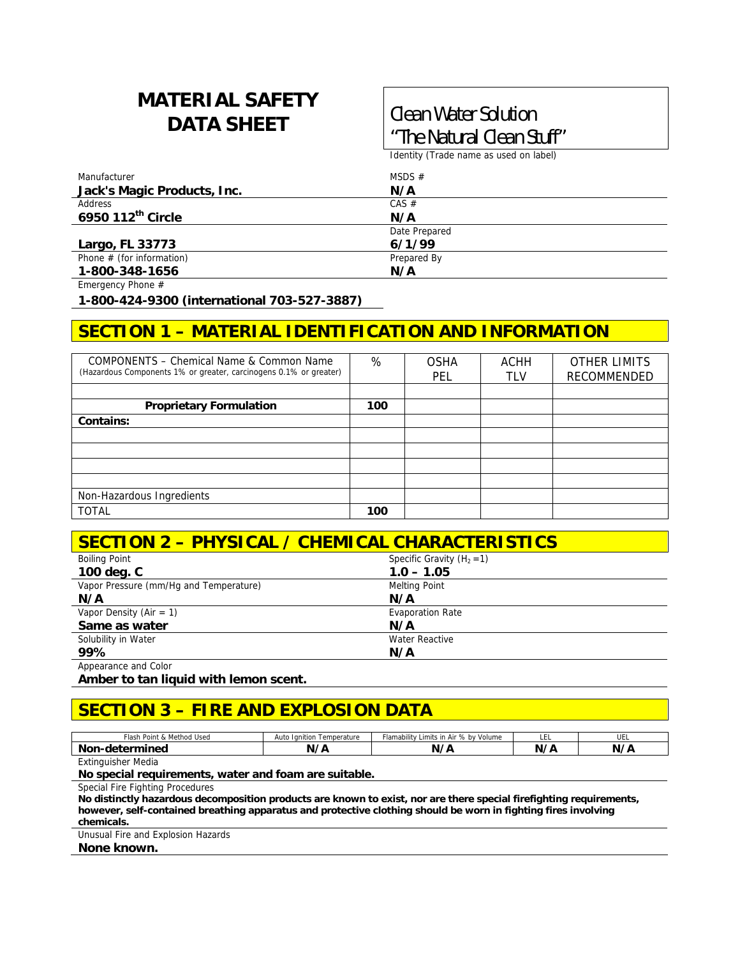## **MATERIAL SAFETY DATA SHEET Clean Water Solution**

# **"The Natural Clean Stuff"**

Identity (Trade name as used on label)

| Manufacturer                | MSDS $#$      |
|-----------------------------|---------------|
| Jack's Magic Products, Inc. | N/A           |
| Address                     | CAS #         |
| 6950 112th Circle           | N/A           |
|                             | Date Prepared |
| Largo, FL 33773             | 6/1/99        |
| Phone $#$ (for information) | Prepared By   |
| 1-800-348-1656              | N/A           |

Emergency Phone #

**1-800-424-9300 (international 703-527-3887)** 

## **SECTION 1 – MATERIAL IDENTIFICATION AND INFORMATION**

| COMPONENTS – Chemical Name & Common Name<br>(Hazardous Components 1% or greater, carcinogens 0.1% or greater) | %   | <b>OSHA</b><br>PEL | <b>ACHH</b><br><b>TLV</b> | <b>OTHER LIMITS</b><br>RECOMMENDED |
|---------------------------------------------------------------------------------------------------------------|-----|--------------------|---------------------------|------------------------------------|
|                                                                                                               |     |                    |                           |                                    |
| <b>Proprietary Formulation</b>                                                                                | 100 |                    |                           |                                    |
| Contains:                                                                                                     |     |                    |                           |                                    |
|                                                                                                               |     |                    |                           |                                    |
|                                                                                                               |     |                    |                           |                                    |
|                                                                                                               |     |                    |                           |                                    |
|                                                                                                               |     |                    |                           |                                    |
| Non-Hazardous Ingredients                                                                                     |     |                    |                           |                                    |
| <b>TOTAL</b>                                                                                                  | 100 |                    |                           |                                    |

## **SECTION 2 – PHYSICAL / CHEMICAL CHARACTERISTICS**

| <b>Boiling Point</b>                   | Specific Gravity $(H_2 = 1)$ |  |
|----------------------------------------|------------------------------|--|
| 100 deg. C                             | $1.0 - 1.05$                 |  |
| Vapor Pressure (mm/Hq and Temperature) | <b>Melting Point</b>         |  |
| N/A                                    | N/A                          |  |
| Vapor Density (Air = 1)                | <b>Evaporation Rate</b>      |  |
| Same as water                          | N/A                          |  |
| Solubility in Water                    | <b>Water Reactive</b>        |  |
| 99%                                    | N/A                          |  |
| Appearance and Color                   |                              |  |

**Amber to tan liquid with lemon scent.** 

### **SECTION 3 – FIRE AND EXPLOSION DATA**

| t & Method Used<br>Flash Point             | Temperature<br>Ianition<br>Auto | $\ldots$ n Air $\sim$<br>by Volume<br>Flamability<br>Limits<br>70. UV | .  | .<br>◡∟ |
|--------------------------------------------|---------------------------------|-----------------------------------------------------------------------|----|---------|
| Nor<br>$+ -$ - $ -$<br>-deteri<br>чес<br>. | $\sim$ 1.7 $\sim$<br>n.         | N,<br>,                                                               | N, | N/A     |

Extinguisher Media

**No special requirements, water and foam are suitable.** 

Special Fire Fighting Procedures

**No distinctly hazardous decomposition products are known to exist, nor are there special firefighting requirements, however, self-contained breathing apparatus and protective clothing should be worn in fighting fires involving chemicals.** 

Unusual Fire and Explosion Hazards

**None known.**